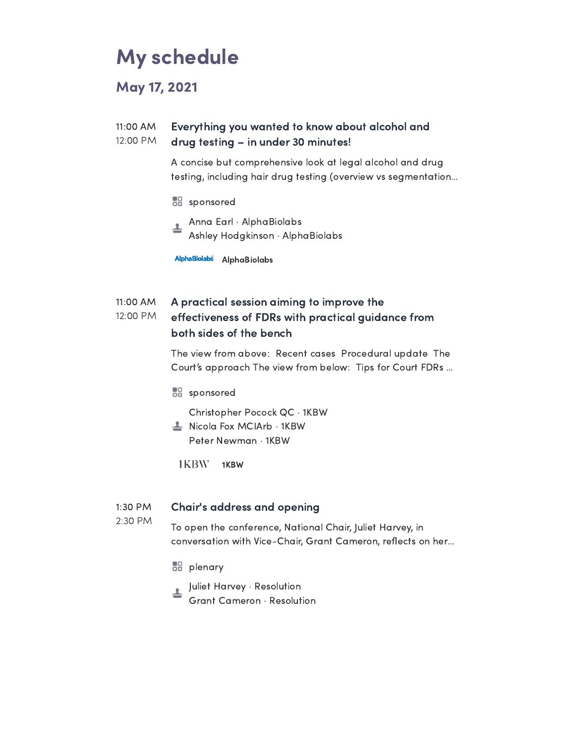# My schedule

May 17, 2021

#### 11:00 AM 12:00 PM Everything you wanted to know about alcohol and drug testing – in under 30 minutes!

A concise but comprehensive look at legal alcohol and drug testing, including hair drug testing (overview vs segmentation…

- **BB** sponsored
- Anna Earl · AlphaBiolabs ╧ Ashley Hodgkinson · AlphaBiolabs

AlphaBiolabs AlphaBiolabs

#### 11:00 AM 12:00 PM A practical session aiming to improve the effectiveness of FDRs with practical guidance from both sides of the bench

The view from above: Recent cases Procedural update The Court's approach The view from below: Tips for Court FDRs …

**BB** sponsored

Christopher Pocock QC · 1KBW

<u>L</u> Nicola Fox MCIArb · 1KBW Peter Newman · 1KBW

1KBW 1KBW

#### 1:30 PM Chair's address and opening

2:30 PM

To open the conference, National Chair, Juliet Harvey, in conversation with Vice-Chair, Grant Cameron, reflects on her...

**BB** plenary

Juliet Harvey · Resolution

Grant Cameron · Resolution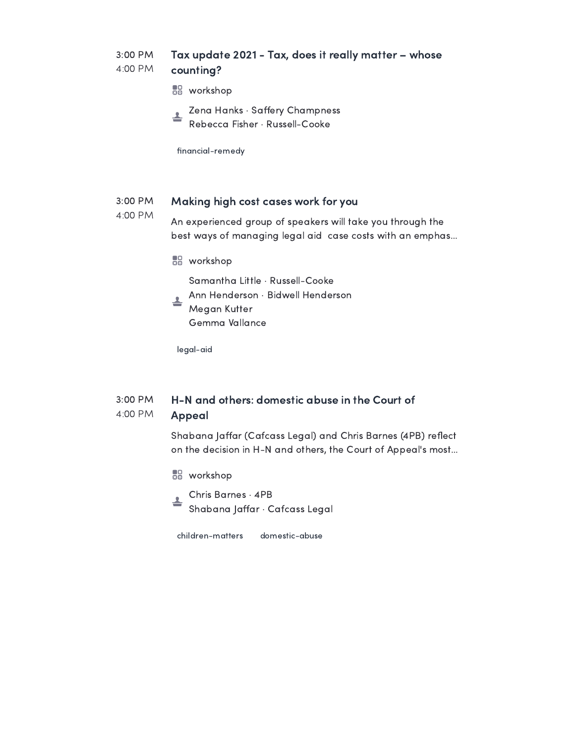#### 3:00 PM 4:00 PM Tax update 2021 - Tax, does it really matter – whose counting?

- **BB** workshop
- Zena Hanks · Saffery Champness Rebecca Fisher · Russell-Cooke

financial-remedy

#### 3:00 PM Making high cost cases work for you

4:00 PM An experienced group of speakers will take you through the best ways of managing legal aid case costs with an emphas…

**BB** workshop

Samantha Little · Russell-Cooke

Ann Henderson · Bidwell Henderson 속 Megan Kutter

Gemma Vallance

legal-aid

#### 3:00 PM 4:00 PM H-N and others: domestic abuse in the Court of Appeal

Shabana Jaffar (Cafcass Legal) and Chris Barnes (4PB) reflect on the decision in H-N and others, the Court of Appeal's most…

- **BB** workshop
- Chris Barnes · 4PB Shabana Jaffar · Cafcass Legal

children-matters domestic-abuse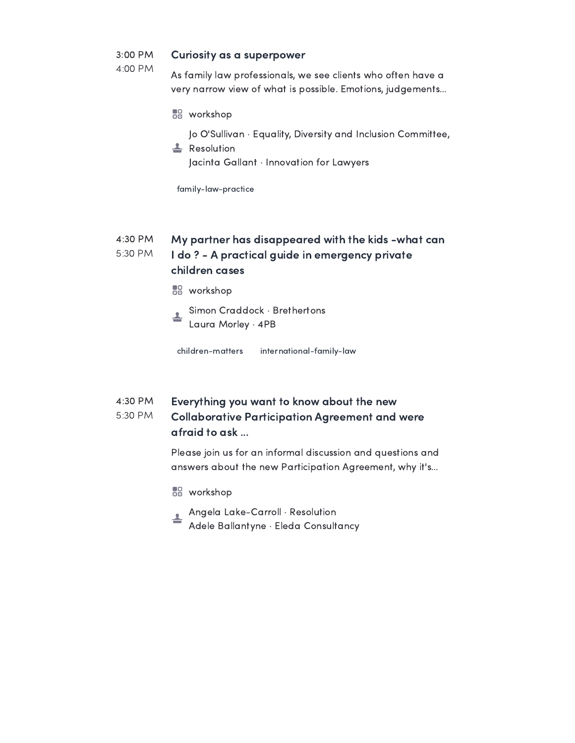#### 3:00 PM Curiosity as a superpower

4:00 PM

As family law professionals, we see clients who often have a very narrow view of what is possible. Emotions, judgements…

**BB** workshop

Jo O'Sullivan · Equality, Diversity and Inclusion Committee,

**L** Resolution Jacinta Gallant · Innovation for Lawyers

family-law-practice

#### 4:30 PM 5:30 PM My partner has disappeared with the kids -what can I do ? - A practical guide in emergency private children cases

- **BB** workshop
- Simon Craddock · Brethertons Laura Morley · 4PB

children-matters international-family-law

#### 4:30 PM Everything you want to know about the new

#### 5:30 PM Collaborative Participation Agreement and were afraid to ask ...

Please join us for an informal discussion and questions and answers about the new Participation Agreement, why it's…

- **BB** workshop
- Angela Lake-Carroll · Resolution ┻ Adele Ballantyne · Eleda Consultancy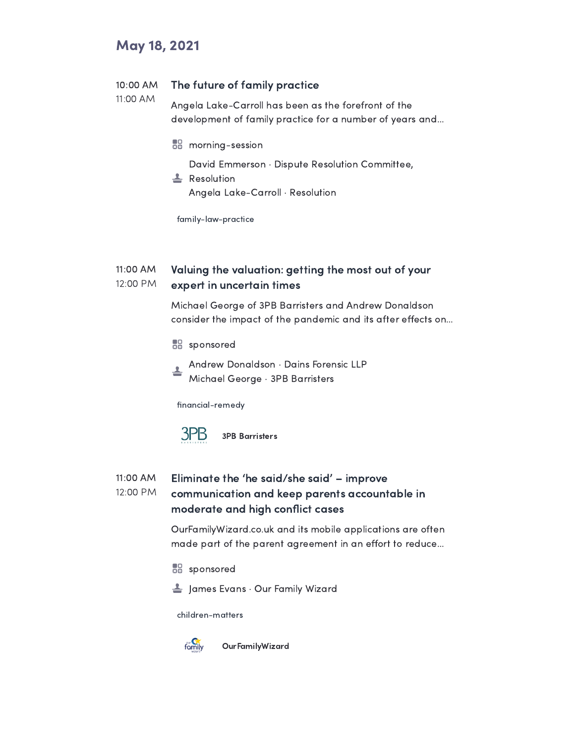## May 18, 2021

#### 10:00 AM The future of family practice

11:00 AM Angela Lake-Carroll has been as the forefront of the development of family practice for a number of years and…

**morning-session** 

David Emmerson · Dispute Resolution Committee,

Resolution Angela Lake-Carroll · Resolution

family-law-practice

#### 11:00 AM 12:00 PM Valuing the valuation: getting the most out of your expert in uncertain times

Michael George of 3PB Barristers and Andrew Donaldson consider the impact of the pandemic and its after effects on...

- **BB** sponsored
- Andrew Donaldson · Dains Forensic LLP Michael George · 3PB Barristers

financial-remedy



#### 11:00 AM 12:00 PM Eliminate the 'he said/she said' – improve communication and keep parents accountable in moderate and high conflict cases

OurFamilyWizard.co.uk and its mobile applications are often made part of the parent agreement in an effort to reduce...

**BB** sponsored

 $\triangleq$  James Evans  $\cdot$  Our Family Wizard

children-matters



OurFamilyWizard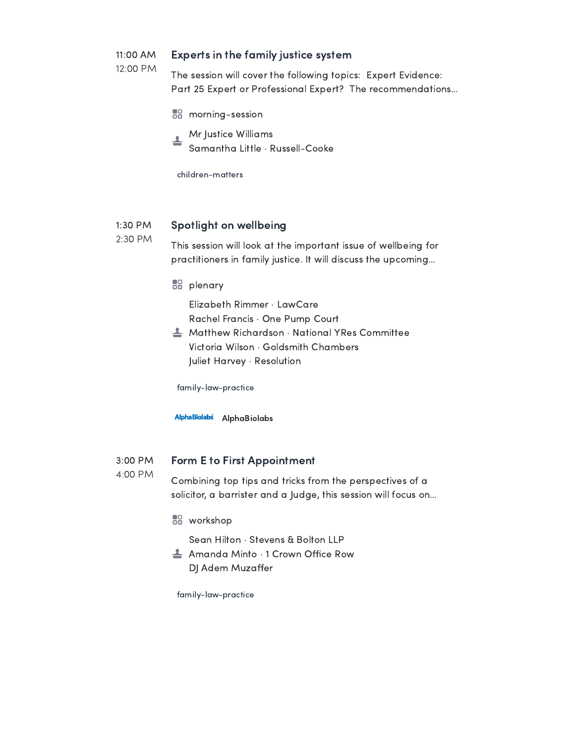#### 11:00 AM Experts in the family justice system

12:00 PM

The session will cover the following topics: Expert Evidence: Part 25 Expert or Professional Expert? The recommendations…

- **morning-session**
- Mr Justice Williams ዹ

Samantha Little · Russell-Cooke

children-matters

#### 1:30 PM Spotlight on wellbeing

2:30 PM This session will look at the important issue of wellbeing for practitioners in family justice. It will discuss the upcoming…

**BB** plenary

Elizabeth Rimmer · LawCare

Rachel Francis · One Pump Court

 $\triangle$  Matthew Richardson  $\cdot$  National YRes Committee Victoria Wilson · Goldsmith Chambers Juliet Harvey · Resolution

family-law-practice

AlphaBiolabs AlphaBiolabs

#### 3:00 PM Form E to First Appointment

4:00 PM

### Combining top tips and tricks from the perspectives of a solicitor, a barrister and a Judge, this session will focus on…

**BB** workshop

Sean Hilton · Stevens & Bolton LLP

 $\triangle$  Amanda Minto  $\cdot$  1 Crown Office Row DJ Adem Muzaffer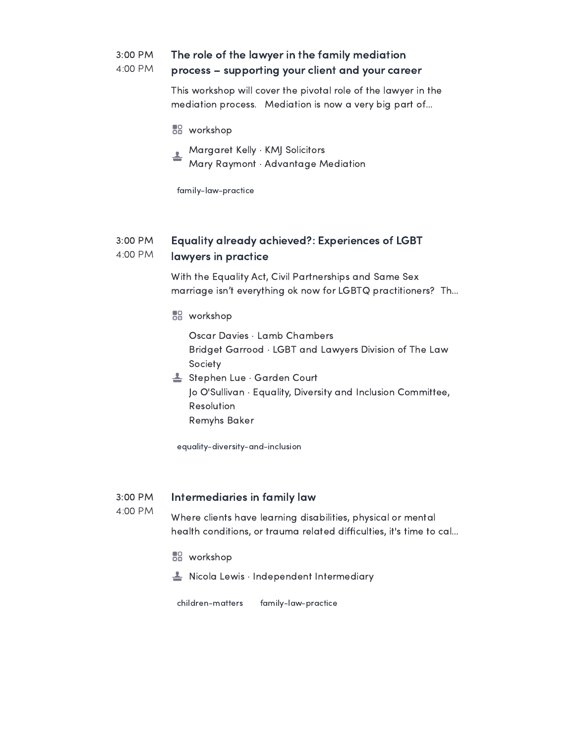#### 3:00 PM 4:00 PM The role of the lawyer in the family mediation process – supporting your client and your career

This workshop will cover the pivotal role of the lawyer in the mediation process. Mediation is now a very big part of…

- **BB** workshop
- Margaret Kelly · KMJ Solicitors ∸
- Mary Raymont · Advantage Mediation

family-law-practice

#### 3:00 PM 4:00 PM Equality already achieved?: Experiences of LGBT lawyers in practice

With the Equality Act, Civil Partnerships and Same Sex marriage isn't everything ok now for LGBTQ practitioners? Th…

**BB** workshop

Oscar Davies · Lamb Chambers Bridget Garrood · LGBT and Lawyers Division of The Law Society

Stephen Lue · Garden Court Jo O'Sullivan · Equality, Diversity and Inclusion Committee, Resolution Remyhs Baker

equality-diversity-and-inclusion

#### 3:00 PM Intermediaries in family law

Where clients have learning disabilities, physical or mental health conditions, or trauma related difficulties, it's time to cal...

**BB** workshop

4:00 PM

 $\triangleq$  Nicola Lewis  $\cdot$  Independent Intermediary

children-matters family-law-practice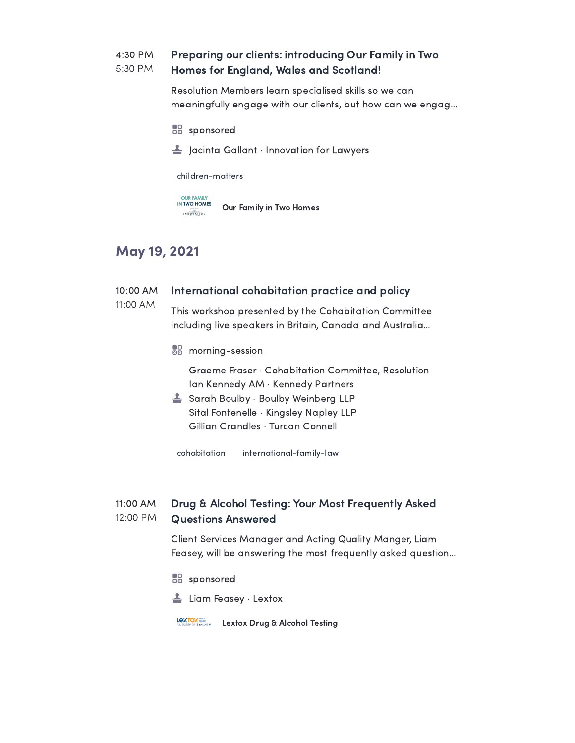#### 4:30 PM 5:30 PM Preparing our clients: introducing Our Family in Two Homes for England, Wales and Scotland!

Resolution Members learn specialised skills so we can meaningfully engage with our clients, but how can we engag…

- **BB** sponsored
- $\triangle$  Jacinta Gallant  $\cdot$  Innovation for Lawyers

children-matters

**OUR FAMILY<br>IN TWO HOMES** Our Family in Two Homes  $\begin{array}{c}\n\hline\n\text{D} \sqrt{\text{D}} \text{D} \text{A} \\
\hline\n\end{array}$ 

## May 19, 2021

#### 10:00 AM International cohabitation practice and policy

11:00 AM This workshop presented by the Cohabitation Committee including live speakers in Britain, Canada and Australia…

**morning-session** 

Graeme Fraser · Cohabitation Committee, Resolution Ian Kennedy AM · Kennedy Partners

Sarah Boulby · Boulby Weinberg LLP Sital Fontenelle · Kingsley Napley LLP Gillian Crandles · Turcan Connell

cohabitation international-family-law

#### 11:00 AM 12:00 PM Drug & Alcohol Testing: Your Most Frequently Asked Questions Answered

Client Services Manager and Acting Quality Manger, Liam Feasey, will be answering the most frequently asked question…

- **BB** sponsored
- Liam Feasey · Lextox

Lextox Drug & Alcohol Testing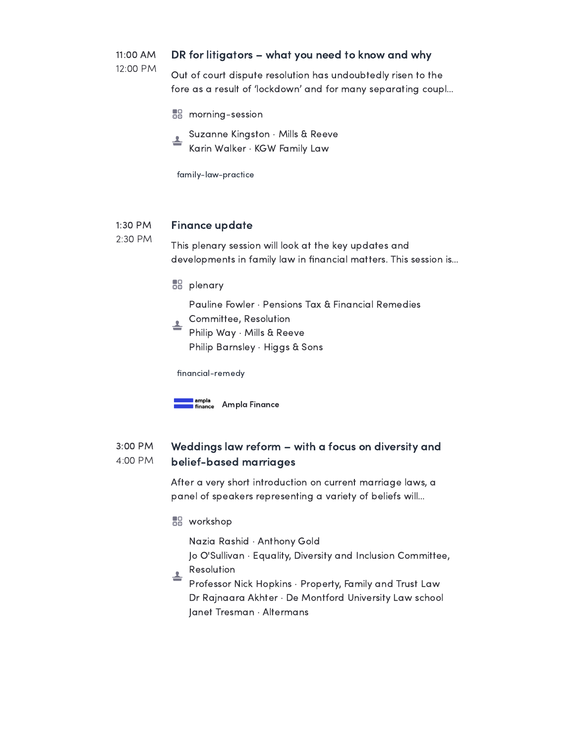#### 11:00 AM DR for litigators – what you need to know and why

12:00 PM

Out of court dispute resolution has undoubtedly risen to the fore as a result of 'lockdown' and for many separating coupl…

**morning-session** 

Suzanne Kingston · Mills & Reeve ዹ Karin Walker · KGW Family Law

family-law-practice

#### 1:30 PM Finance update

2:30 PM This plenary session will look at the key updates and developments in family law in financial matters. This session is...

**BB** plenary

Pauline Fowler · Pensions Tax & Financial Remedies

- Committee, Resolution ∸
- Philip Way · Mills & Reeve Philip Barnsley · Higgs & Sons

financial-remedy



#### 3:00 PM 4:00 PM Weddings law reform – with a focus on diversity and belief-based marriages

After a very short introduction on current marriage laws, a panel of speakers representing a variety of beliefs will…

**BB** workshop

Nazia Rashid · Anthony Gold

- Jo O'Sullivan · Equality, Diversity and Inclusion Committee, Resolution
- ᆂ Professor Nick Hopkins · Property, Family and Trust Law Dr Rajnaara Akhter · De Montford University Law school Janet Tresman · Altermans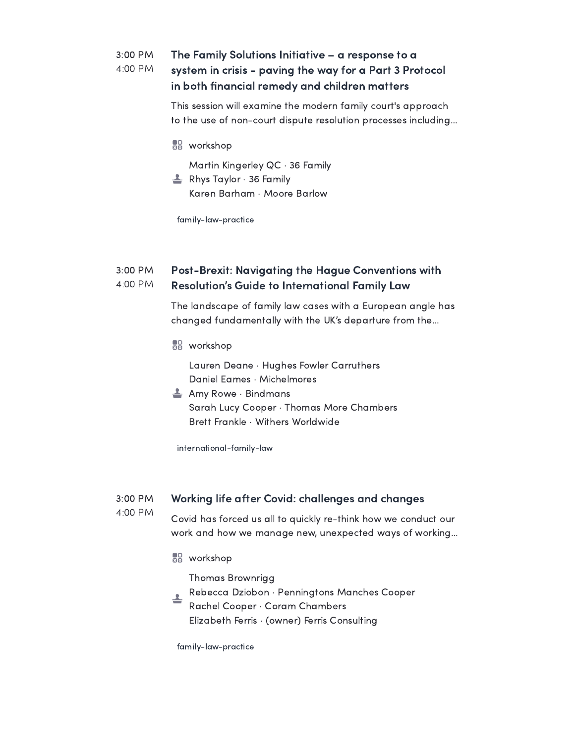#### 3:00 PM 4:00 PM The Family Solutions Initiative – a response to a system in crisis - paving the way for a Part 3 Protocol in both financial remedy and children matters

This session will examine the modern family court's approach to the use of non-court dispute resolution processes including…

**BB** workshop

Martin Kingerley QC · 36 Family

 $\triangleq$  Rhys Taylor  $\cdot$  36 Family Karen Barham · Moore Barlow

family-law-practice

#### 3:00 PM 4:00 PM Post-Brexit: Navigating the Hague Conventions with Resolution's Guide to International Family Law

The landscape of family law cases with a European angle has changed fundamentally with the UK's departure from the…

**BB** workshop

Lauren Deane · Hughes Fowler Carruthers Daniel Eames · Michelmores

 $\triangleq$  Amy Rowe  $\cdot$  Bindmans Sarah Lucy Cooper · Thomas More Chambers Brett Frankle · Withers Worldwide

international-family-law

#### 3:00 PM Working life after Covid: challenges and changes

4:00 PM

Covid has forced us all to quickly re-think how we conduct our work and how we manage new, unexpected ways of working…

**BB** workshop

Thomas Brownrigg

Rebecca Dziobon · Penningtons Manches Cooper ╧ Rachel Cooper · Coram Chambers Elizabeth Ferris · (owner) Ferris Consulting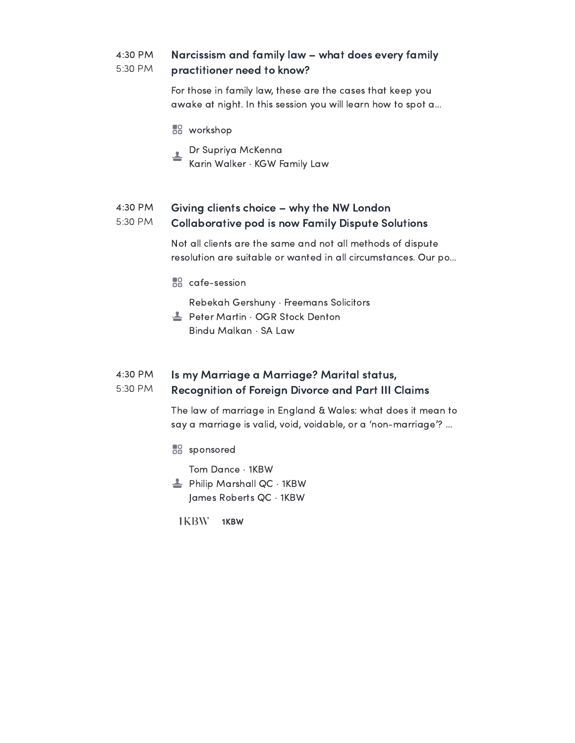#### 4:30 PM 5:30 PM Narcissism and family law – what does every family practitioner need to know?

For those in family law, these are the cases that keep you awake at night. In this session you will learn how to spot a…

- **BB** workshop
- Dr Supriya McKenna ≛ Karin Walker · KGW Family Law

#### 4:30 PM 5:30 PM Giving clients choice – why the NW London Collaborative pod is now Family Dispute Solutions

Not all clients are the same and not all methods of dispute resolution are suitable or wanted in all circumstances. Our po…

**RR** cafe-session

Rebekah Gershuny · Freemans Solicitors

**L** Peter Martin · OGR Stock Denton Bindu Malkan · SA Law

#### 4:30 PM 5:30 PM Is my Marriage a Marriage? Marital status, Recognition of Foreign Divorce and Part III Claims

The law of marriage in England & Wales: what does it mean to say a marriage is valid, void, voidable, or a 'non-marriage'? …

**BB** sponsored

Tom Dance · 1KBW

- $\triangleq$  Philip Marshall QC  $\cdot$  1KBW James Roberts QC · 1KBW
	- 1KBW 1KBW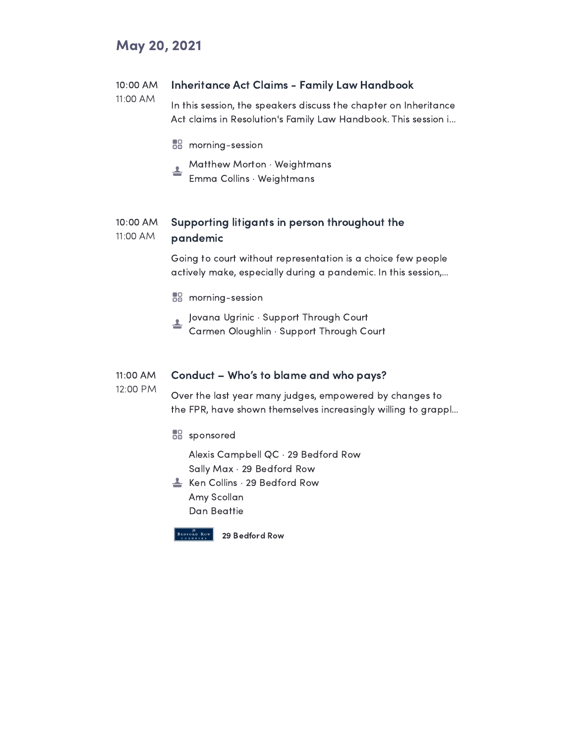## May 20, 2021

#### 10:00 AM Inheritance Act Claims - Family Law Handbook

- 11:00 AM In this session, the speakers discuss the chapter on Inheritance Act claims in Resolution's Family Law Handbook. This session i…
	- **morning-session**
	- Matthew Morton · Weightmans ∸
	- Emma Collins · Weightmans

#### 10:00 AM 11:00 AM Supporting litigants in person throughout the pandemic

Going to court without representation is a choice few people actively make, especially during a pandemic. In this session,…

- **morning-session**
- Jovana Ugrinic · Support Through Court Carmen Oloughlin · Support Through Court

#### 11:00 AM Conduct – Who's to blame and who pays?

12:00 PM

Over the last year many judges, empowered by changes to the FPR, have shown themselves increasingly willing to grappl…

**BB** sponsored

Alexis Campbell QC · 29 Bedford Row Sally Max · 29 Bedford Row

**Ken Collins · 29 Bedford Row** Amy Scollan Dan Beattie



29 Bedford Row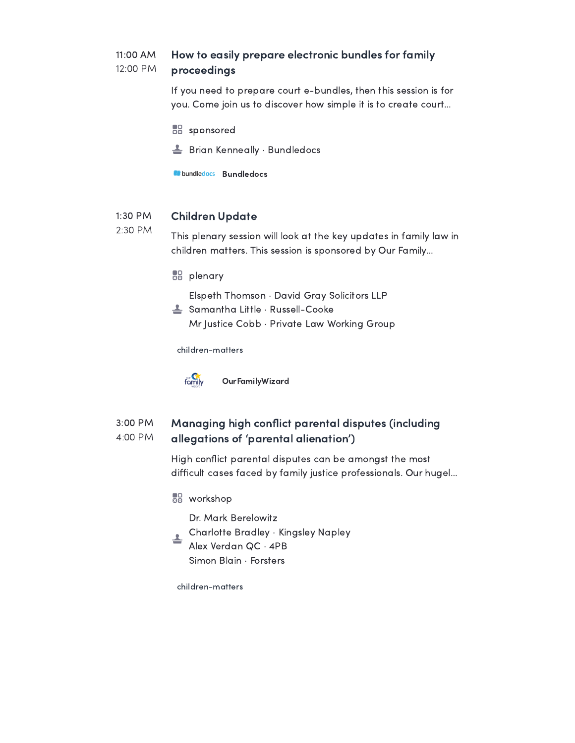#### 11:00 AM 12:00 PM How to easily prepare electronic bundles for family proceedings

If you need to prepare court e-bundles, then this session is for you. Come join us to discover how simple it is to create court…

- **BB** sponsored
- $\triangleq$  Brian Kenneally  $\cdot$  Bundledocs

**Bundledocs** Bundledocs

#### 1:30 PM Children Update

2:30 PM This plenary session will look at the key updates in family law in children matters. This session is sponsored by Our Family…

**BB** plenary

Elspeth Thomson · David Gray Solicitors LLP

<u>L</u> Samantha Little · Russell-Cooke Mr Justice Cobb · Private Law Working Group

children-matters



OurFamilyWizard

#### 3:00 PM 4:00 PM Managing high conflict parental disputes (including allegations of 'parental alienation')

High conflict parental disputes can be amongst the most difficult cases faced by family justice professionals. Our hugel...

**BB** workshop

Dr. Mark Berelowitz

- Charlotte Bradley · Kingsley Napley
- Alex Verdan QC · 4PB Simon Blain · Forsters

children-matters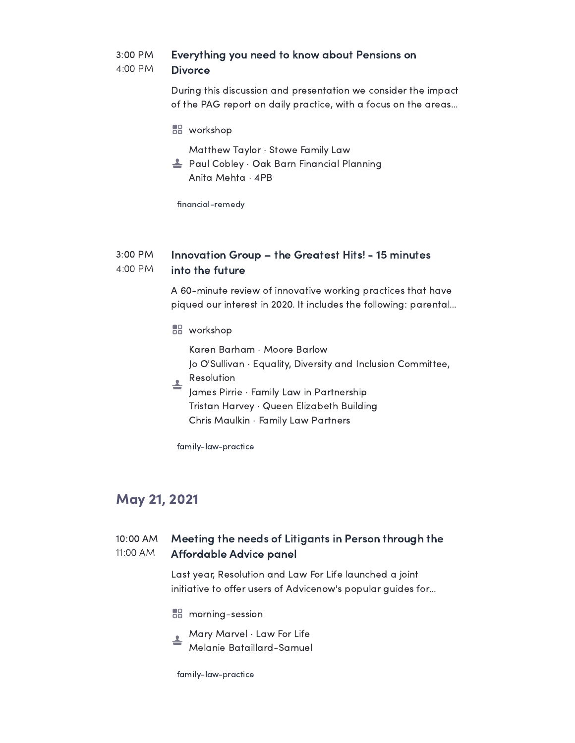#### 3:00 PM 4:00 PM Everything you need to know about Pensions on **Divorce**

During this discussion and presentation we consider the impact of the PAG report on daily practice, with a focus on the areas…

**BB** workshop

Matthew Taylor · Stowe Family Law

Paul Cobley · Oak Barn Financial Planning Anita Mehta · 4PB

financial-remedy

#### 3:00 PM 4:00 PM Innovation Group – the Greatest Hits! - 15 minutes into the future

A 60-minute review of innovative working practices that have piqued our interest in 2020. It includes the following: parental…

**BB** workshop

Karen Barham · Moore Barlow Jo O'Sullivan · Equality, Diversity and Inclusion Committee,

Resolution ╧

James Pirrie · Family Law in Partnership Tristan Harvey · Queen Elizabeth Building Chris Maulkin · Family Law Partners

family-law-practice

## May 21, 2021

#### 10:00 AM 11:00 AM Meeting the needs of Litigants in Person through the Affordable Advice panel

Last year, Resolution and Law For Life launched a joint initiative to offer users of Advicenow's popular guides for...

- **morning-session**
- Mary Marvel · Law For Life Melanie Bataillard-Samuel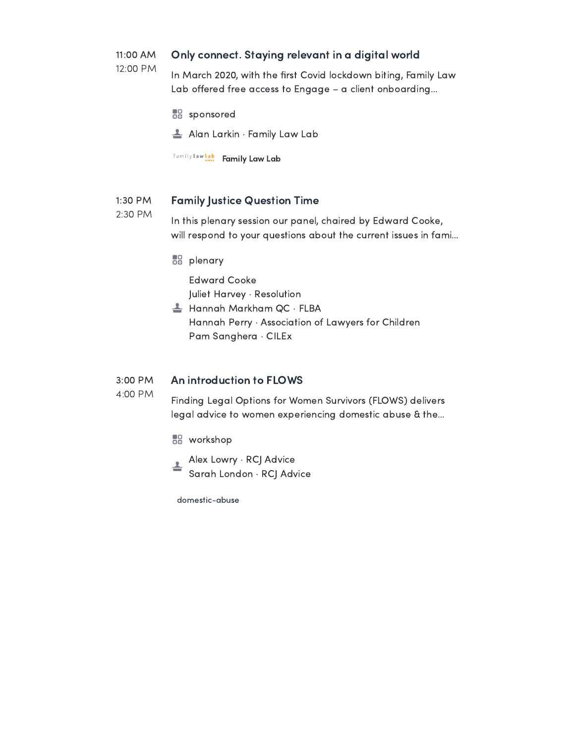#### 11:00 AM Only connect. Staying relevant in a digital world

12:00 PM In March 2020, with the first Covid lockdown biting, Family Law Lab offered free access to Engage - a client onboarding...

**BB** sponsored

Alan Larkin · Family Law Lab

family law lab Family Law Lab

#### 1:30 PM Family Justice Question Time

2:30 PM In this plenary session our panel, chaired by Edward Cooke, will respond to your questions about the current issues in fami…

**BB** plenary

Edward Cooke Juliet Harvey · Resolution

Hannah Markham QC · FLBA Hannah Perry · Association of Lawyers for Children Pam Sanghera · CILEx

#### 3:00 PM An introduction to FLOWS

4:00 PM

Finding Legal Options for Women Survivors (FLOWS) delivers legal advice to women experiencing domestic abuse & the…

- **BB** workshop
- Alex Lowry · RCJ Advice ∸ Sarah London · RCJ Advice

domestic-abuse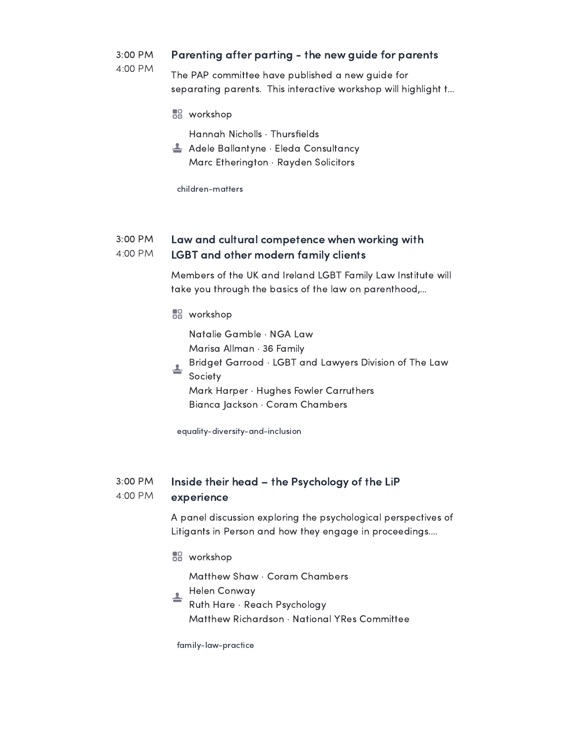#### 3:00 PM Parenting after parting - the new guide for parents

4:00 PM

The PAP committee have published a new guide for separating parents. This interactive workshop will highlight t…

**BB** workshop

Hannah Nicholls · Thursfields

 $\triangleq$  Adele Ballantyne  $\cdot$  Eleda Consultancy Marc Etherington · Rayden Solicitors

children-matters

#### 3:00 PM 4:00 PM Law and cultural competence when working with LGBT and other modern family clients

Members of the UK and Ireland LGBT Family Law Institute will take you through the basics of the law on parenthood,…

**BB** workshop

Natalie Gamble · NGA Law Marisa Allman · 36 Family

- Bridget Garrood · LGBT and Lawyers Division of The Law ≛
	- Society Mark Harper · Hughes Fowler Carruthers Bianca Jackson · Coram Chambers

equality-diversity-and-inclusion

#### 3:00 PM 4:00 PM Inside their head – the Psychology of the LiP experience

A panel discussion exploring the psychological perspectives of Litigants in Person and how they engage in proceedings.…

**BB** workshop

Matthew Shaw · Coram Chambers

- Helen Conway ╧
	- Ruth Hare · Reach Psychology Matthew Richardson · National YRes Committee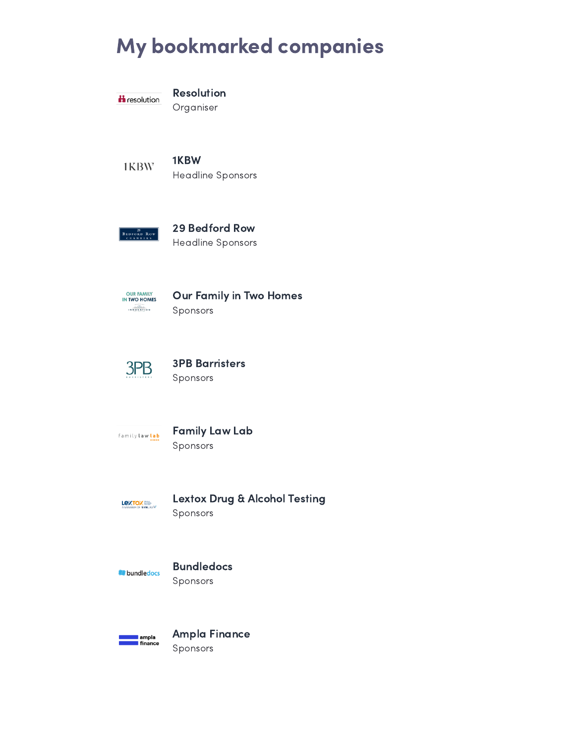# My bookmarked companies



Resolution

Organiser

1KBW 1KBW Headline Sponsors

 $\begin{array}{|c|c|c|}\n\hline\n & 29 \\
\hline\n\text{BEDFORD Row} \\
 & \text{CHAMREBS}\n\end{array}$ 

## 29 Bedford Row

Headline Sponsors



Our Family in Two Homes Sponsors



## 3PB Barristers Sponsors

family law lab

### Family Law Lab Sponsors



## Lextox Drug & Alcohol Testing

Sponsors

**bundledocs** 

## Bundledocs

Sponsors



Ampla Finance Sponsors